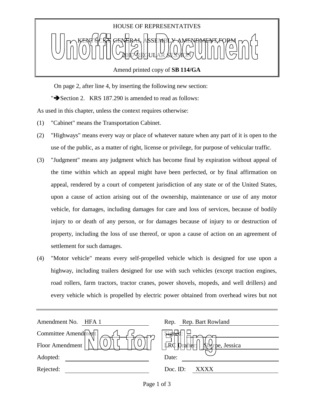

On page 2, after line 4, by inserting the following new section:

" $\blacktriangleright$  Section 2. KRS 187.290 is amended to read as follows:

As used in this chapter, unless the context requires otherwise:

- (1) "Cabinet" means the Transportation Cabinet.
- (2) "Highways" means every way or place of whatever nature when any part of it is open to the use of the public, as a matter of right, license or privilege, for purpose of vehicular traffic.
- (3) "Judgment" means any judgment which has become final by expiration without appeal of the time within which an appeal might have been perfected, or by final affirmation on appeal, rendered by a court of competent jurisdiction of any state or of the United States, upon a cause of action arising out of the ownership, maintenance or use of any motor vehicle, for damages, including damages for care and loss of services, because of bodily injury to or death of any person, or for damages because of injury to or destruction of property, including the loss of use thereof, or upon a cause of action on an agreement of settlement for such damages.
- (4) "Motor vehicle" means every self-propelled vehicle which is designed for use upon a highway, including trailers designed for use with such vehicles (except traction engines, road rollers, farm tractors, tractor cranes, power shovels, mopeds, and well drillers) and every vehicle which is propelled by electric power obtained from overhead wires but not

| Amendment No.<br>HFA 1 | Rep. Rep. Bart Rowland                             |
|------------------------|----------------------------------------------------|
| Committee Amendment    | $\frac{1}{2}$                                      |
| Floor Amendment        | LRC I<br>$\mathbf{R}^1$<br>rafter:<br>rpe, Jessica |
| Adopted:               | Date:                                              |
| Rejected:              | Doc. ID:<br>xxxx                                   |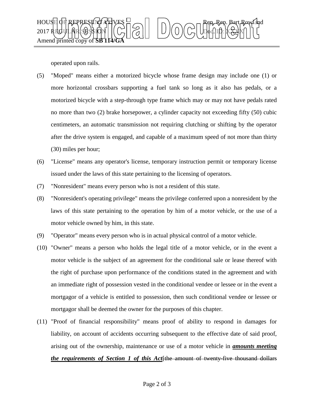

operated upon rails.

- (5) "Moped" means either a motorized bicycle whose frame design may include one (1) or more horizontal crossbars supporting a fuel tank so long as it also has pedals, or a motorized bicycle with a step-through type frame which may or may not have pedals rated no more than two (2) brake horsepower, a cylinder capacity not exceeding fifty (50) cubic centimeters, an automatic transmission not requiring clutching or shifting by the operator after the drive system is engaged, and capable of a maximum speed of not more than thirty (30) miles per hour;
- (6) "License" means any operator's license, temporary instruction permit or temporary license issued under the laws of this state pertaining to the licensing of operators.
- (7) "Nonresident" means every person who is not a resident of this state.
- (8) "Nonresident's operating privilege" means the privilege conferred upon a nonresident by the laws of this state pertaining to the operation by him of a motor vehicle, or the use of a motor vehicle owned by him, in this state.
- (9) "Operator" means every person who is in actual physical control of a motor vehicle.
- (10) "Owner" means a person who holds the legal title of a motor vehicle, or in the event a motor vehicle is the subject of an agreement for the conditional sale or lease thereof with the right of purchase upon performance of the conditions stated in the agreement and with an immediate right of possession vested in the conditional vendee or lessee or in the event a mortgagor of a vehicle is entitled to possession, then such conditional vendee or lessee or mortgagor shall be deemed the owner for the purposes of this chapter.
- (11) "Proof of financial responsibility" means proof of ability to respond in damages for liability, on account of accidents occurring subsequent to the effective date of said proof, arising out of the ownership, maintenance or use of a motor vehicle in *amounts meeting the requirements of Section 1 of this Act*[the amount of twenty-five thousand dollars